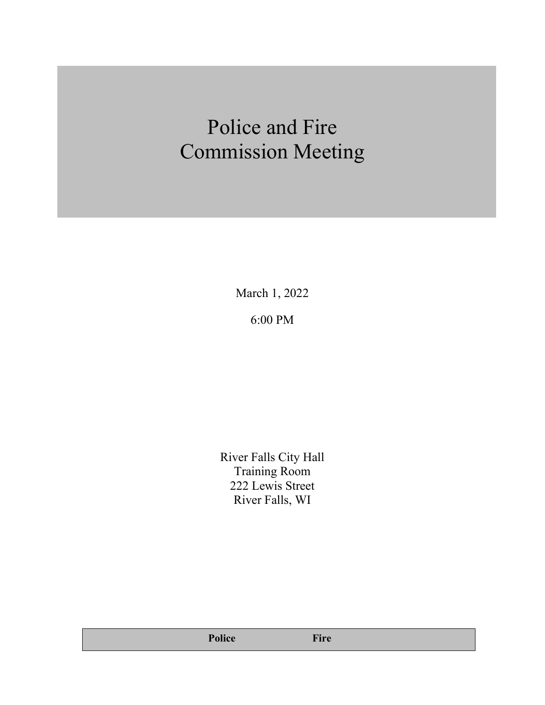# Police and Fire Commission Meeting

March 1, 2022 6:00 PM

River Falls City Hall Training Room 222 Lewis Street River Falls, WI

**Police Fire**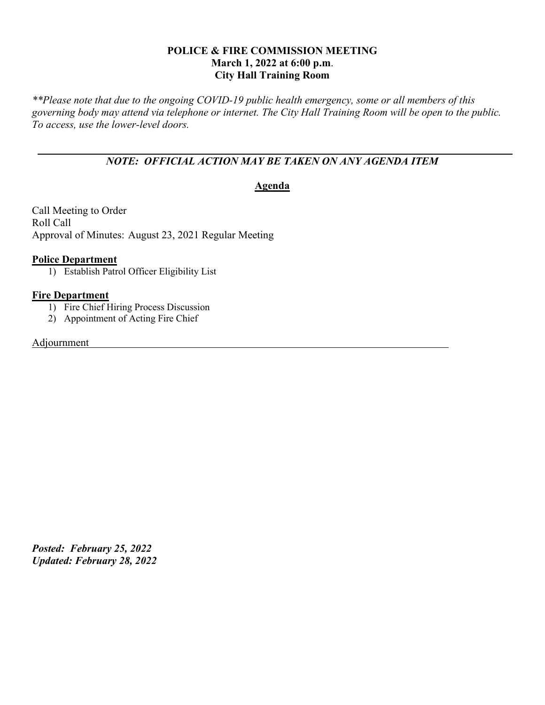# **POLICE & FIRE COMMISSION MEETING March 1, 2022 at 6:00 p.m**. **City Hall Training Room**

*\*\*Please note that due to the ongoing COVID-19 public health emergency, some or all members of this governing body may attend via telephone or internet. The City Hall Training Room will be open to the public. To access, use the lower-level doors.*

# *NOTE: OFFICIAL ACTION MAY BE TAKEN ON ANY AGENDA ITEM*

# **Agenda**

Call Meeting to Order Roll Call Approval of Minutes: August 23, 2021 Regular Meeting

### **Police Department**

1) Establish Patrol Officer Eligibility List

# **Fire Department**

- 1) Fire Chief Hiring Process Discussion
- 2) Appointment of Acting Fire Chief

#### Adjournment

*Posted: February 25, 2022 Updated: February 28, 2022*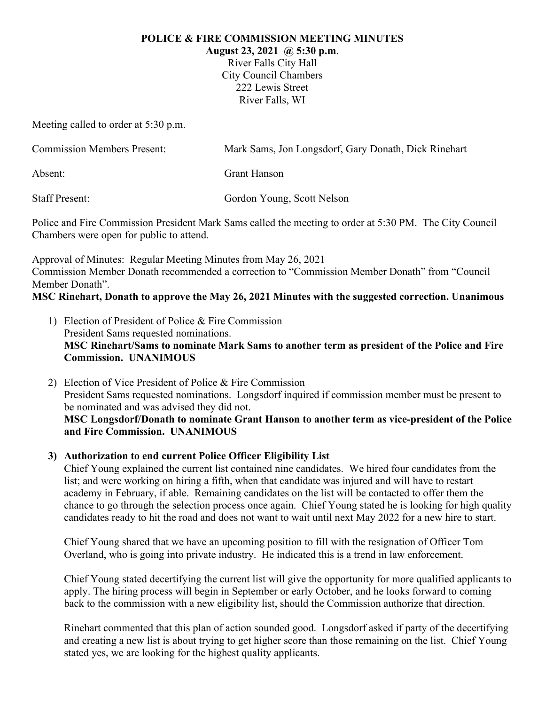#### **POLICE & FIRE COMMISSION MEETING MINUTES**

**August 23, 2021 @ 5:30 p.m**.

River Falls City Hall City Council Chambers 222 Lewis Street River Falls, WI

Meeting called to order at 5:30 p.m.

| <b>Commission Members Present:</b> | Mark Sams, Jon Longsdorf, Gary Donath, Dick Rinehart |  |  |
|------------------------------------|------------------------------------------------------|--|--|
| Absent:                            | Grant Hanson                                         |  |  |
| <b>Staff Present:</b>              | Gordon Young, Scott Nelson                           |  |  |

Police and Fire Commission President Mark Sams called the meeting to order at 5:30 PM. The City Council Chambers were open for public to attend.

Approval of Minutes: Regular Meeting Minutes from May 26, 2021 Commission Member Donath recommended a correction to "Commission Member Donath" from "Council Member Donath".

**MSC Rinehart, Donath to approve the May 26, 2021 Minutes with the suggested correction. Unanimous**

- 1) Election of President of Police & Fire Commission President Sams requested nominations. **MSC Rinehart/Sams to nominate Mark Sams to another term as president of the Police and Fire Commission. UNANIMOUS**
- 2) Election of Vice President of Police & Fire Commission President Sams requested nominations. Longsdorf inquired if commission member must be present to be nominated and was advised they did not. **MSC Longsdorf/Donath to nominate Grant Hanson to another term as vice-president of the Police and Fire Commission. UNANIMOUS**

# **3) Authorization to end current Police Officer Eligibility List**

Chief Young explained the current list contained nine candidates. We hired four candidates from the list; and were working on hiring a fifth, when that candidate was injured and will have to restart academy in February, if able. Remaining candidates on the list will be contacted to offer them the chance to go through the selection process once again. Chief Young stated he is looking for high quality candidates ready to hit the road and does not want to wait until next May 2022 for a new hire to start.

Chief Young shared that we have an upcoming position to fill with the resignation of Officer Tom Overland, who is going into private industry. He indicated this is a trend in law enforcement.

Chief Young stated decertifying the current list will give the opportunity for more qualified applicants to apply. The hiring process will begin in September or early October, and he looks forward to coming back to the commission with a new eligibility list, should the Commission authorize that direction.

Rinehart commented that this plan of action sounded good. Longsdorf asked if party of the decertifying and creating a new list is about trying to get higher score than those remaining on the list. Chief Young stated yes, we are looking for the highest quality applicants.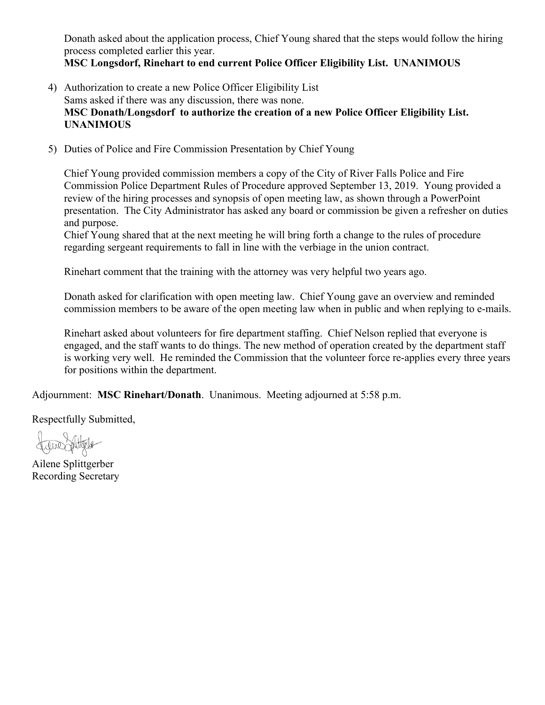Donath asked about the application process, Chief Young shared that the steps would follow the hiring process completed earlier this year.

**MSC Longsdorf, Rinehart to end current Police Officer Eligibility List. UNANIMOUS**

- 4) Authorization to create a new Police Officer Eligibility List Sams asked if there was any discussion, there was none. **MSC Donath/Longsdorf to authorize the creation of a new Police Officer Eligibility List. UNANIMOUS**
- 5) Duties of Police and Fire Commission Presentation by Chief Young

Chief Young provided commission members a copy of the City of River Falls Police and Fire Commission Police Department Rules of Procedure approved September 13, 2019. Young provided a review of the hiring processes and synopsis of open meeting law, as shown through a PowerPoint presentation. The City Administrator has asked any board or commission be given a refresher on duties and purpose.

Chief Young shared that at the next meeting he will bring forth a change to the rules of procedure regarding sergeant requirements to fall in line with the verbiage in the union contract.

Rinehart comment that the training with the attorney was very helpful two years ago.

Donath asked for clarification with open meeting law. Chief Young gave an overview and reminded commission members to be aware of the open meeting law when in public and when replying to e-mails.

Rinehart asked about volunteers for fire department staffing. Chief Nelson replied that everyone is engaged, and the staff wants to do things. The new method of operation created by the department staff is working very well. He reminded the Commission that the volunteer force re-applies every three years for positions within the department.

Adjournment: **MSC Rinehart/Donath**. Unanimous. Meeting adjourned at 5:58 p.m.

Respectfully Submitted,

there stitutede

Ailene Splittgerber Recording Secretary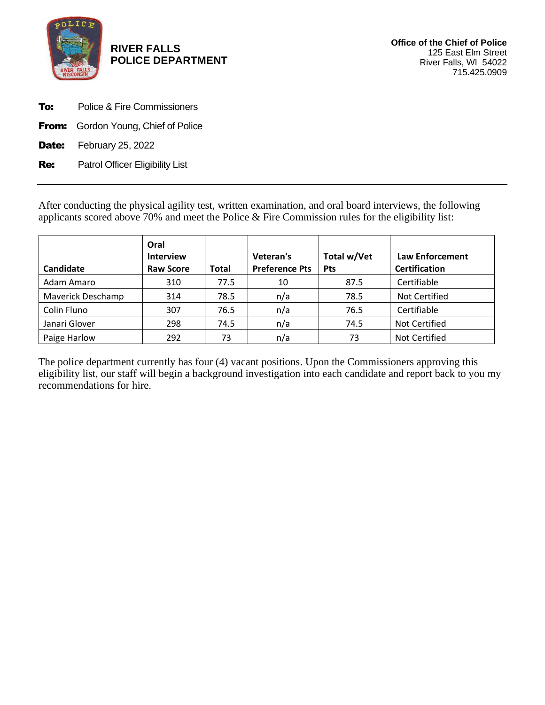

**RIVER FALLS POLICE DEPARTMENT**

- **To:** Police & Fire Commissioners
- **From:** Gordon Young, Chief of Police
- **Date:** February 25, 2022

Re: Patrol Officer Eligibility List

After conducting the physical agility test, written examination, and oral board interviews, the following applicants scored above 70% and meet the Police & Fire Commission rules for the eligibility list:

| Candidate                | Oral<br><b>Interview</b><br><b>Raw Score</b> | Total | Veteran's<br><b>Preference Pts</b> | Total w/Vet<br><b>Pts</b> | <b>Law Enforcement</b><br><b>Certification</b> |
|--------------------------|----------------------------------------------|-------|------------------------------------|---------------------------|------------------------------------------------|
| Adam Amaro               | 310                                          | 77.5  | 10                                 | 87.5                      | Certifiable                                    |
| <b>Maverick Deschamp</b> | 314                                          | 78.5  | n/a                                | 78.5                      | Not Certified                                  |
| Colin Fluno              | 307                                          | 76.5  | n/a                                | 76.5                      | Certifiable                                    |
| Janari Glover            | 298                                          | 74.5  | n/a                                | 74.5                      | Not Certified                                  |
| Paige Harlow             | 292                                          | 73    | n/a                                | 73                        | Not Certified                                  |

The police department currently has four (4) vacant positions. Upon the Commissioners approving this eligibility list, our staff will begin a background investigation into each candidate and report back to you my recommendations for hire.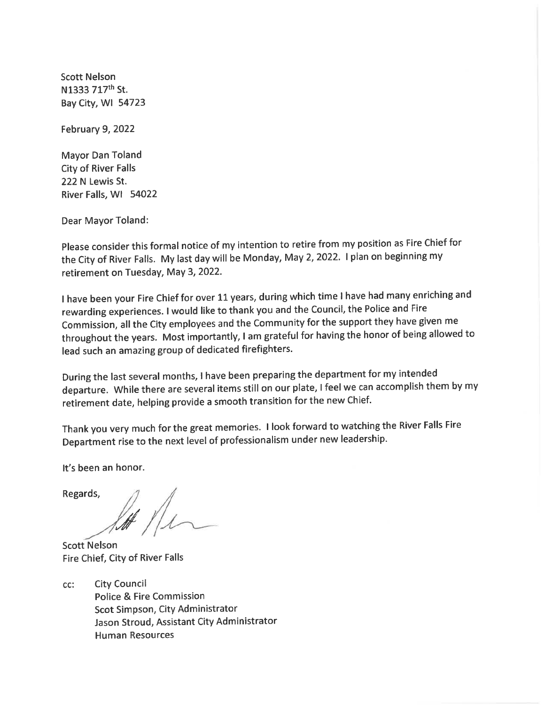**Scott Nelson** N1333 717th St. Bay City, WI 54723

**February 9, 2022** 

Mayor Dan Toland **City of River Falls** 222 N Lewis St. River Falls, WI 54022

**Dear Mayor Toland:** 

Please consider this formal notice of my intention to retire from my position as Fire Chief for the City of River Falls. My last day will be Monday, May 2, 2022. I plan on beginning my retirement on Tuesday, May 3, 2022.

I have been your Fire Chief for over 11 years, during which time I have had many enriching and rewarding experiences. I would like to thank you and the Council, the Police and Fire Commission, all the City employees and the Community for the support they have given me throughout the years. Most importantly, I am grateful for having the honor of being allowed to lead such an amazing group of dedicated firefighters.

During the last several months, I have been preparing the department for my intended departure. While there are several items still on our plate, I feel we can accomplish them by my retirement date, helping provide a smooth transition for the new Chief.

Thank you very much for the great memories. I look forward to watching the River Falls Fire Department rise to the next level of professionalism under new leadership.

It's been an honor.

Regards,

**Scott Nelson** Fire Chief, City of River Falls

**City Council** cc: Police & Fire Commission Scot Simpson, City Administrator Jason Stroud, Assistant City Administrator **Human Resources**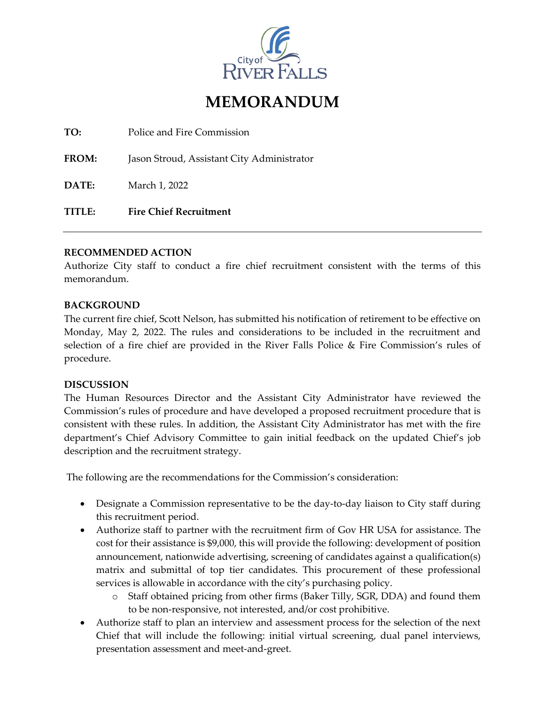

# **MEMORANDUM**

**TO:** Police and Fire Commission

**FROM:** Jason Stroud, Assistant City Administrator

**DATE:** March 1, 2022

**TITLE: Fire Chief Recruitment**

#### **RECOMMENDED ACTION**

Authorize City staff to conduct a fire chief recruitment consistent with the terms of this memorandum.

### **BACKGROUND**

The current fire chief, Scott Nelson, has submitted his notification of retirement to be effective on Monday, May 2, 2022. The rules and considerations to be included in the recruitment and selection of a fire chief are provided in the River Falls Police & Fire Commission's rules of procedure.

### **DISCUSSION**

The Human Resources Director and the Assistant City Administrator have reviewed the Commission's rules of procedure and have developed a proposed recruitment procedure that is consistent with these rules. In addition, the Assistant City Administrator has met with the fire department's Chief Advisory Committee to gain initial feedback on the updated Chief's job description and the recruitment strategy.

The following are the recommendations for the Commission's consideration:

- Designate a Commission representative to be the day-to-day liaison to City staff during this recruitment period.
- Authorize staff to partner with the recruitment firm of Gov HR USA for assistance. The cost for their assistance is \$9,000, this will provide the following: development of position announcement, nationwide advertising, screening of candidates against a qualification(s) matrix and submittal of top tier candidates. This procurement of these professional services is allowable in accordance with the city's purchasing policy.
	- o Staff obtained pricing from other firms (Baker Tilly, SGR, DDA) and found them to be non-responsive, not interested, and/or cost prohibitive.
- Authorize staff to plan an interview and assessment process for the selection of the next Chief that will include the following: initial virtual screening, dual panel interviews, presentation assessment and meet-and-greet.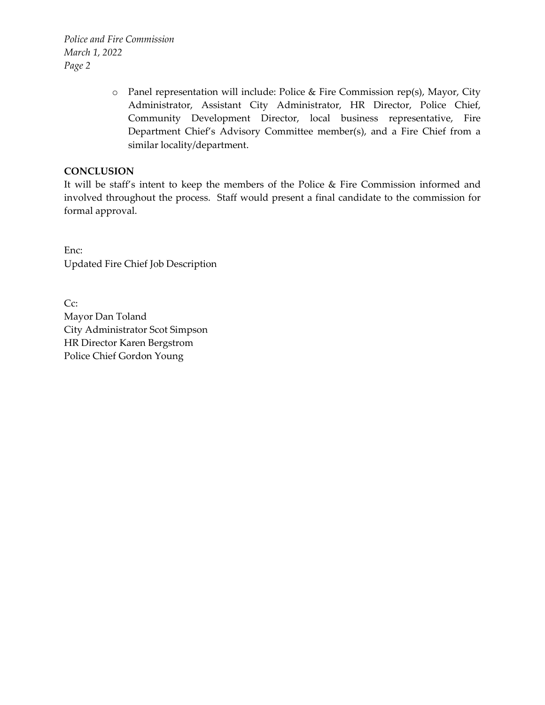*Police and Fire Commission March 1, 2022 Page 2*

> o Panel representation will include: Police & Fire Commission rep(s), Mayor, City Administrator, Assistant City Administrator, HR Director, Police Chief, Community Development Director, local business representative, Fire Department Chief's Advisory Committee member(s), and a Fire Chief from a similar locality/department.

# **CONCLUSION**

It will be staff's intent to keep the members of the Police & Fire Commission informed and involved throughout the process. Staff would present a final candidate to the commission for formal approval.

Enc: Updated Fire Chief Job Description

Cc: Mayor Dan Toland City Administrator Scot Simpson HR Director Karen Bergstrom Police Chief Gordon Young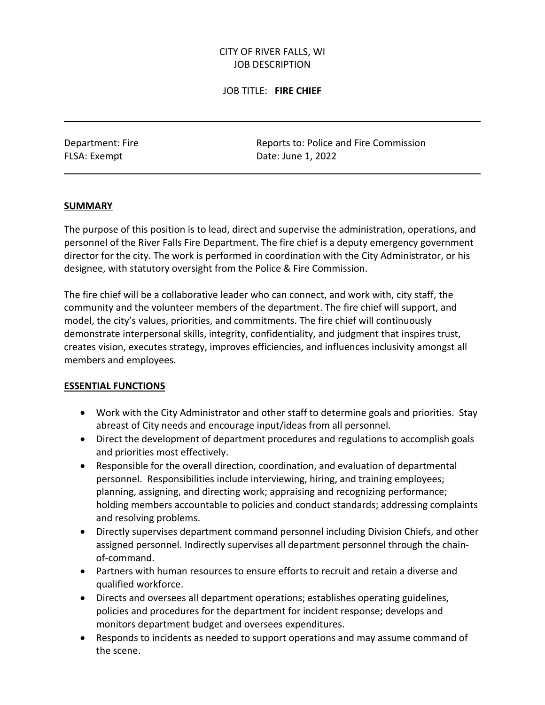# CITY OF RIVER FALLS, WI JOB DESCRIPTION

## JOB TITLE: **FIRE CHIEF**

Department: Fire Reports to: Police and Fire Commission FLSA: Exempt Date: June 1, 2022

### **SUMMARY**

The purpose of this position is to lead, direct and supervise the administration, operations, and personnel of the River Falls Fire Department. The fire chief is a deputy emergency government director for the city. The work is performed in coordination with the City Administrator, or his designee, with statutory oversight from the Police & Fire Commission.

The fire chief will be a collaborative leader who can connect, and work with, city staff, the community and the volunteer members of the department. The fire chief will support, and model, the city's values, priorities, and commitments. The fire chief will continuously demonstrate interpersonal skills, integrity, confidentiality, and judgment that inspires trust, creates vision, executes strategy, improves efficiencies, and influences inclusivity amongst all members and employees.

### **ESSENTIAL FUNCTIONS**

- Work with the City Administrator and other staff to determine goals and priorities. Stay abreast of City needs and encourage input/ideas from all personnel.
- Direct the development of department procedures and regulations to accomplish goals and priorities most effectively.
- Responsible for the overall direction, coordination, and evaluation of departmental personnel. Responsibilities include interviewing, hiring, and training employees; planning, assigning, and directing work; appraising and recognizing performance; holding members accountable to policies and conduct standards; addressing complaints and resolving problems.
- Directly supervises department command personnel including Division Chiefs, and other assigned personnel. Indirectly supervises all department personnel through the chainof-command.
- Partners with human resources to ensure efforts to recruit and retain a diverse and qualified workforce.
- Directs and oversees all department operations; establishes operating guidelines, policies and procedures for the department for incident response; develops and monitors department budget and oversees expenditures.
- Responds to incidents as needed to support operations and may assume command of the scene.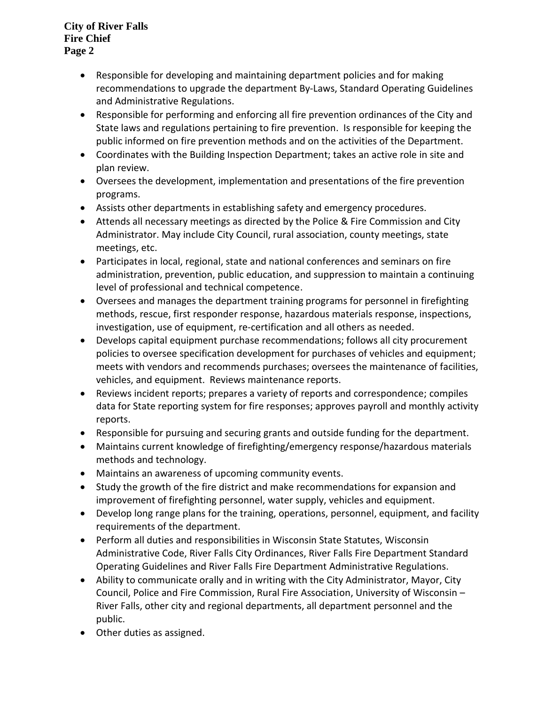**City of River Falls Fire Chief Page 2**

- Responsible for developing and maintaining department policies and for making recommendations to upgrade the department By-Laws, Standard Operating Guidelines and Administrative Regulations.
- Responsible for performing and enforcing all fire prevention ordinances of the City and State laws and regulations pertaining to fire prevention. Is responsible for keeping the public informed on fire prevention methods and on the activities of the Department.
- Coordinates with the Building Inspection Department; takes an active role in site and plan review.
- Oversees the development, implementation and presentations of the fire prevention programs.
- Assists other departments in establishing safety and emergency procedures.
- Attends all necessary meetings as directed by the Police & Fire Commission and City Administrator. May include City Council, rural association, county meetings, state meetings, etc.
- Participates in local, regional, state and national conferences and seminars on fire administration, prevention, public education, and suppression to maintain a continuing level of professional and technical competence.
- Oversees and manages the department training programs for personnel in firefighting methods, rescue, first responder response, hazardous materials response, inspections, investigation, use of equipment, re-certification and all others as needed.
- Develops capital equipment purchase recommendations; follows all city procurement policies to oversee specification development for purchases of vehicles and equipment; meets with vendors and recommends purchases; oversees the maintenance of facilities, vehicles, and equipment. Reviews maintenance reports.
- Reviews incident reports; prepares a variety of reports and correspondence; compiles data for State reporting system for fire responses; approves payroll and monthly activity reports.
- Responsible for pursuing and securing grants and outside funding for the department.
- Maintains current knowledge of firefighting/emergency response/hazardous materials methods and technology.
- Maintains an awareness of upcoming community events.
- Study the growth of the fire district and make recommendations for expansion and improvement of firefighting personnel, water supply, vehicles and equipment.
- Develop long range plans for the training, operations, personnel, equipment, and facility requirements of the department.
- Perform all duties and responsibilities in Wisconsin State Statutes, Wisconsin Administrative Code, River Falls City Ordinances, River Falls Fire Department Standard Operating Guidelines and River Falls Fire Department Administrative Regulations.
- Ability to communicate orally and in writing with the City Administrator, Mayor, City Council, Police and Fire Commission, Rural Fire Association, University of Wisconsin – River Falls, other city and regional departments, all department personnel and the public.
- Other duties as assigned.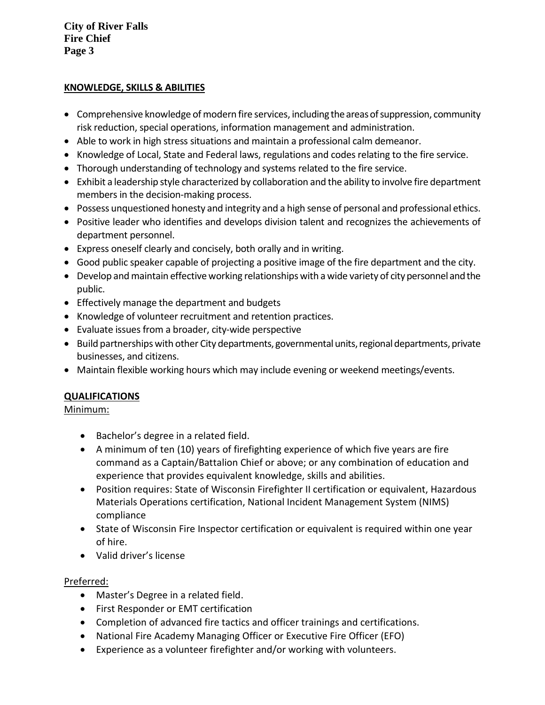**City of River Falls Fire Chief Page 3**

### **KNOWLEDGE, SKILLS & ABILITIES**

- Comprehensive knowledge of modern fire services, including the areas of suppression, community risk reduction, special operations, information management and administration.
- Able to work in high stress situations and maintain a professional calm demeanor.
- Knowledge of Local, State and Federal laws, regulations and codes relating to the fire service.
- Thorough understanding of technology and systems related to the fire service.
- Exhibit a leadership style characterized by collaboration and the ability to involve fire department members in the decision-making process.
- Possess unquestioned honesty and integrity and a high sense of personal and professional ethics.
- Positive leader who identifies and develops division talent and recognizes the achievements of department personnel.
- Express oneself clearly and concisely, both orally and in writing.
- Good public speaker capable of projecting a positive image of the fire department and the city.
- Develop and maintain effective working relationships with a wide variety of city personnel and the public.
- Effectively manage the department and budgets
- Knowledge of volunteer recruitment and retention practices.
- Evaluate issues from a broader, city-wide perspective
- Build partnerships with other City departments, governmental units, regional departments, private businesses, and citizens.
- Maintain flexible working hours which may include evening or weekend meetings/events.

# **QUALIFICATIONS**

# Minimum:

- Bachelor's degree in a related field.
- A minimum of ten (10) years of firefighting experience of which five years are fire command as a Captain/Battalion Chief or above; or any combination of education and experience that provides equivalent knowledge, skills and abilities.
- Position requires: State of Wisconsin Firefighter II certification or equivalent, Hazardous Materials Operations certification, National Incident Management System (NIMS) compliance
- State of Wisconsin Fire Inspector certification or equivalent is required within one year of hire.
- Valid driver's license

# Preferred:

- Master's Degree in a related field.
- First Responder or EMT certification
- Completion of advanced fire tactics and officer trainings and certifications.
- National Fire Academy Managing Officer or Executive Fire Officer (EFO)
- Experience as a volunteer firefighter and/or working with volunteers.